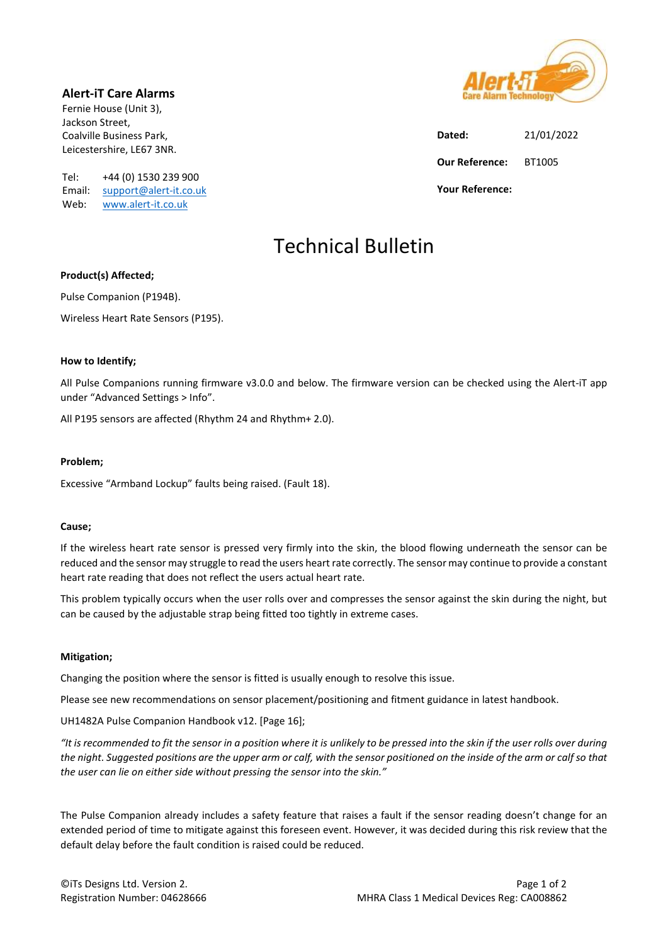Alert-iT Care Alarms

Fernie House (Unit 3), Jackson Street, Coalville Business Park, Leicestershire, LE67 3NR.

Tel: +44 (0) 1530 239 900 Email: support@alert-it.co.uk Web: www.alert-it.co.uk

Dated: 21/01/2022 Our Reference: BT1005 Your Reference:

# Technical Bulletin

# Product(s) Affected;

Pulse Companion (P194B).

Wireless Heart Rate Sensors (P195).

# How to Identify;

All Pulse Companions running firmware v3.0.0 and below. The firmware version can be checked using the Alert-iT app under "Advanced Settings > Info".

All P195 sensors are affected (Rhythm 24 and Rhythm+ 2.0).

# Problem;

Excessive "Armband Lockup" faults being raised. (Fault 18).

# Cause;

If the wireless heart rate sensor is pressed very firmly into the skin, the blood flowing underneath the sensor can be reduced and the sensor may struggle to read the users heart rate correctly. The sensor may continue to provide a constant heart rate reading that does not reflect the users actual heart rate.

This problem typically occurs when the user rolls over and compresses the sensor against the skin during the night, but can be caused by the adjustable strap being fitted too tightly in extreme cases.

# Mitigation;

Changing the position where the sensor is fitted is usually enough to resolve this issue.

Please see new recommendations on sensor placement/positioning and fitment guidance in latest handbook.

UH1482A Pulse Companion Handbook v12. [Page 16];

"It is recommended to fit the sensor in a position where it is unlikely to be pressed into the skin if the user rolls over during the night. Suggested positions are the upper arm or calf, with the sensor positioned on the inside of the arm or calf so that the user can lie on either side without pressing the sensor into the skin."

The Pulse Companion already includes a safety feature that raises a fault if the sensor reading doesn't change for an extended period of time to mitigate against this foreseen event. However, it was decided during this risk review that the default delay before the fault condition is raised could be reduced.